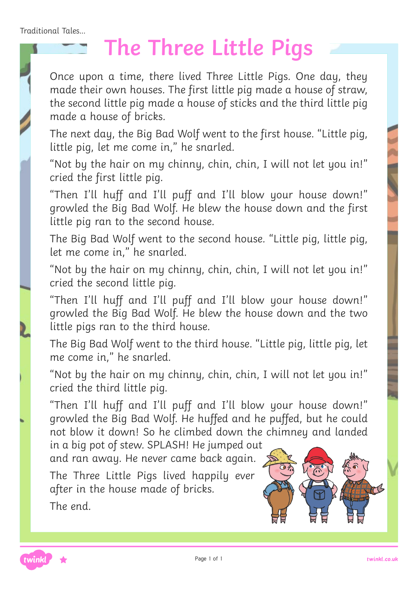Traditional Tales...

## **The Three Little Pigs**

Once upon a time, there lived Three Little Pigs. One day, they made their own houses. The first little pig made a house of straw, the second little pig made a house of sticks and the third little pig made a house of bricks.

The next day, the Big Bad Wolf went to the first house. "Little pig, little pig, let me come in," he snarled.

"Not by the hair on my chinny, chin, chin, I will not let you in!" cried the first little pig.

"Then I'll huff and I'll puff and I'll blow your house down!" growled the Big Bad Wolf. He blew the house down and the first little pig ran to the second house.

The Big Bad Wolf went to the second house. "Little pig, little pig, let me come in," he snarled.

"Not by the hair on my chinny, chin, chin, I will not let you in!" cried the second little pig.

"Then I'll huff and I'll puff and I'll blow your house down!" growled the Big Bad Wolf. He blew the house down and the two little pigs ran to the third house.

The Big Bad Wolf went to the third house. "Little pig, little pig, let me come in," he snarled.

"Not by the hair on my chinny, chin, chin, I will not let you in!" cried the third little pig.

"Then I'll huff and I'll puff and I'll blow your house down!" growled the Big Bad Wolf. He huffed and he puffed, but he could not blow it down! So he climbed down the chimney and landed

in a big pot of stew. SPLASH! He jumped out and ran away. He never came back again.

The Three Little Pigs lived happily ever after in the house made of bricks. The end.



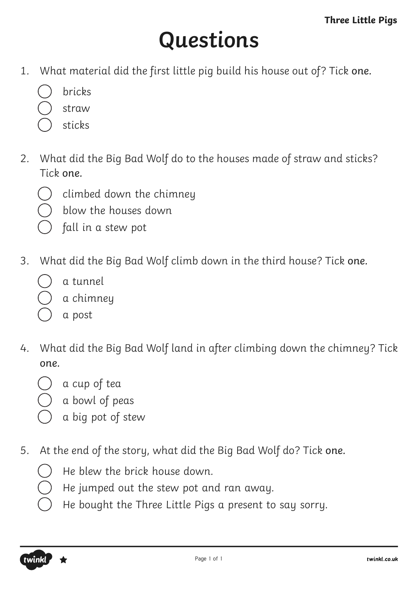# **Questions**

- 1. What material did the first little pig build his house out of? Tick one.
	- bricks
	- straw
	- sticks
- 2. What did the Big Bad Wolf do to the houses made of straw and sticks? Tick one.
	- climbed down the chimney
	- blow the houses down
	- fall in a stew pot
- 3. What did the Big Bad Wolf climb down in the third house? Tick one.
	- a tunnel
	- a chimney
	- a post
- 4. What did the Big Bad Wolf land in after climbing down the chimney? Tick one.
	- a cup of tea
		- a bowl of peas
		- a big pot of stew
- 5. At the end of the story, what did the Big Bad Wolf do? Tick one.
	- He blew the brick house down.
	- He jumped out the stew pot and ran away.
	- He bought the Three Little Pigs a present to say sorry.

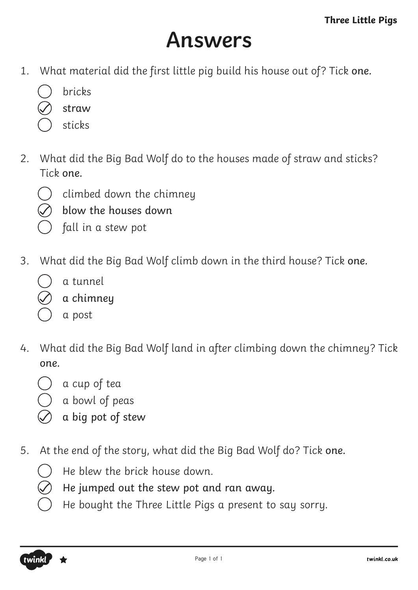#### **Answers**

- 1. What material did the first little pig build his house out of? Tick one.
	- bricks
	- straw
	- sticks
- 2. What did the Big Bad Wolf do to the houses made of straw and sticks? Tick one.
	- climbed down the chimney
	- blow the houses down
	- fall in a stew pot
- 3. What did the Big Bad Wolf climb down in the third house? Tick one.
	- a tunnel
	- a chimney
	- a post
- 4. What did the Big Bad Wolf land in after climbing down the chimney? Tick one.
	- a cup of tea
	- a bowl of peas
	- a big pot of stew
- 5. At the end of the story, what did the Big Bad Wolf do? Tick one.
	- He blew the brick house down.
	- He jumped out the stew pot and ran away.
	- He bought the Three Little Pigs a present to say sorry.

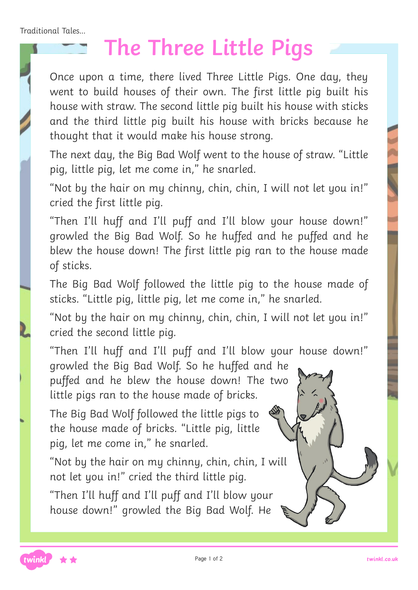Traditional Tales...

## **The Three Little Pigs**

Once upon a time, there lived Three Little Pigs. One day, they went to build houses of their own. The first little pig built his house with straw. The second little pig built his house with sticks and the third little pig built his house with bricks because he thought that it would make his house strong.

The next day, the Big Bad Wolf went to the house of straw. "Little pig, little pig, let me come in," he snarled.

"Not by the hair on my chinny, chin, chin, I will not let you in!" cried the first little pig.

"Then I'll huff and I'll puff and I'll blow your house down!" growled the Big Bad Wolf. So he huffed and he puffed and he blew the house down! The first little pig ran to the house made of sticks.

The Big Bad Wolf followed the little pig to the house made of sticks. "Little pig, little pig, let me come in," he snarled.

"Not by the hair on my chinny, chin, chin, I will not let you in!" cried the second little pig.

"Then I'll huff and I'll puff and I'll blow your house down!"

growled the Big Bad Wolf. So he huffed and he puffed and he blew the house down! The two little pigs ran to the house made of bricks.

The Big Bad Wolf followed the little pigs to the house made of bricks. "Little pig, little pig, let me come in," he snarled.

"Not by the hair on my chinny, chin, chin, I will not let you in!" cried the third little pig.

"Then I'll huff and I'll puff and I'll blow your house down!" growled the Big Bad Wolf. He

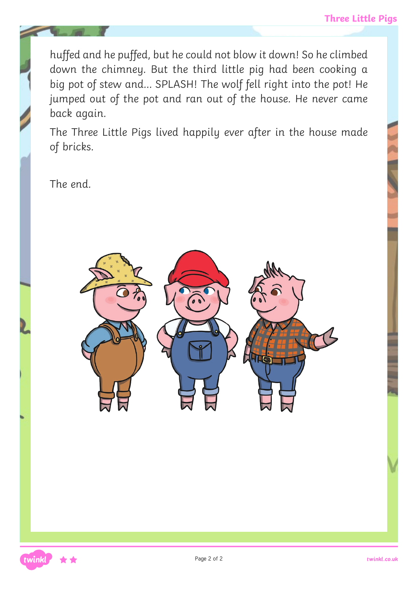huffed and he puffed, but he could not blow it down! So he climbed down the chimney. But the third little pig had been cooking a big pot of stew and… SPLASH! The wolf fell right into the pot! He jumped out of the pot and ran out of the house. He never came back again.

The Three Little Pigs lived happily ever after in the house made of bricks.

The end.

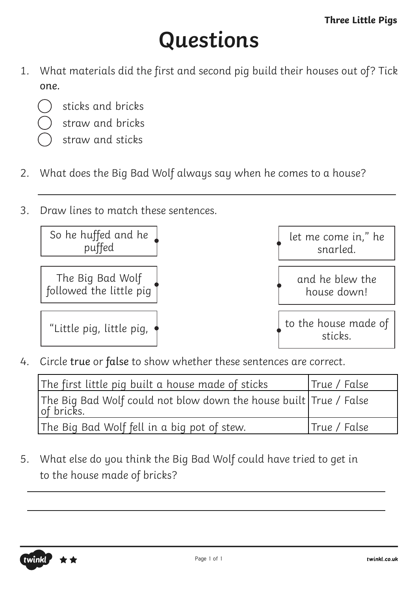# **Questions**

- 1. What materials did the first and second pig build their houses out of? Tick one.
	- sticks and bricks
	- straw and bricks
	- straw and sticks
- 2. What does the Big Bad Wolf always say when he comes to a house?
- 3. Draw lines to match these sentences.



4. Circle true or false to show whether these sentences are correct.

| The first little pig built a house made of sticks                                | True / False  |
|----------------------------------------------------------------------------------|---------------|
| The Big Bad Wolf could not blow down the house built True / False<br> of bricks. |               |
| The Big Bad Wolf fell in a big pot of stew.                                      | 'True / False |

5. What else do you think the Big Bad Wolf could have tried to get in to the house made of bricks?

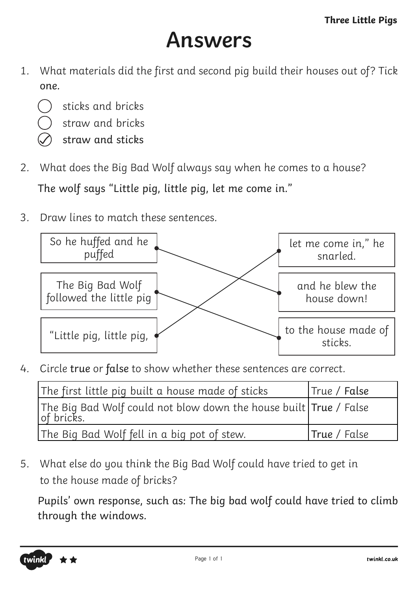#### **Answers**

- 1. What materials did the first and second pig build their houses out of? Tick one.
	- sticks and bricks
	- straw and bricks
	- straw and sticks
- 2. What does the Big Bad Wolf always say when he comes to a house? The wolf says "Little pig, little pig, let me come in."
- 3. Draw lines to match these sentences.



4. Circle true or false to show whether these sentences are correct.

| The first little pig built a house made of sticks                                | True / False        |
|----------------------------------------------------------------------------------|---------------------|
| The Big Bad Wolf could not blow down the house built True / False<br> of bricks. |                     |
| The Big Bad Wolf fell in a big pot of stew.                                      | <b>True</b> / False |

5. What else do you think the Big Bad Wolf could have tried to get in to the house made of bricks?

Pupils' own response, such as: The big bad wolf could have tried to climb through the windows.

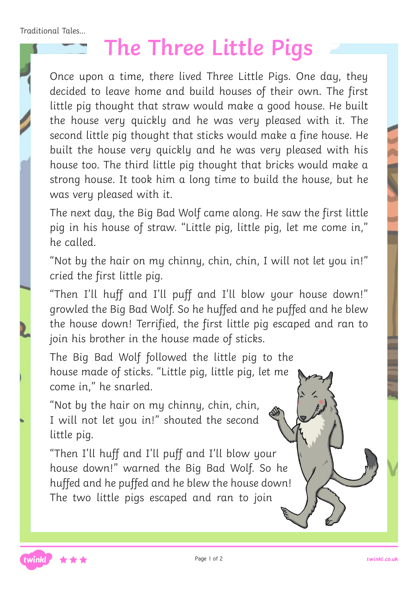Traditional Tales...

# **The Three Little Pigs**

Once upon a time, there lived Three Little Pigs. One day, they decided to leave home and build houses of their own. The first little pig thought that straw would make a good house. He built the house very quickly and he was very pleased with it. The second little pig thought that sticks would make a fine house. He built the house very quickly and he was very pleased with his house too. The third little pig thought that bricks would make a strong house. It took him a long time to build the house, but he was very pleased with it.

The next day, the Big Bad Wolf came along. He saw the first little pig in his house of straw. "Little pig, little pig, let me come in," he called.

"Not by the hair on my chinny, chin, chin, I will not let you in!" cried the first little pig.

"Then I'll huff and I'll puff and I'll blow your house down!" growled the Big Bad Wolf. So he huffed and he puffed and he blew the house down! Terrified, the first little pig escaped and ran to join his brother in the house made of sticks.

The Big Bad Wolf followed the little pig to the house made of sticks. "Little pig, little pig, let me come in," he snarled.

"Not by the hair on my chinny, chin, chin, I will not let you in!" shouted the second little pig.

"Then I'll huff and I'll puff and I'll blow your house down!" warned the Big Bad Wolf. So he huffed and he puffed and he blew the house down! The two little pigs escaped and ran to join

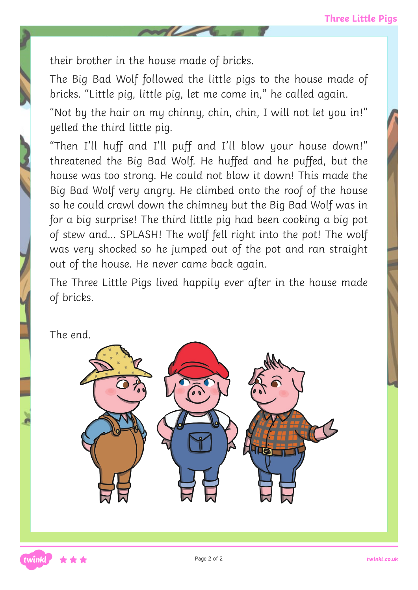their brother in the house made of bricks.

The Big Bad Wolf followed the little pigs to the house made of bricks. "Little pig, little pig, let me come in," he called again.

"Not by the hair on my chinny, chin, chin, I will not let you in!" yelled the third little pig.

"Then I'll huff and I'll puff and I'll blow your house down!" threatened the Big Bad Wolf. He huffed and he puffed, but the house was too strong. He could not blow it down! This made the Big Bad Wolf very angry. He climbed onto the roof of the house so he could crawl down the chimney but the Big Bad Wolf was in for a big surprise! The third little pig had been cooking a big pot of stew and… SPLASH! The wolf fell right into the pot! The wolf was very shocked so he jumped out of the pot and ran straight out of the house. He never came back again.

The Three Little Pigs lived happily ever after in the house made of bricks.

The end.

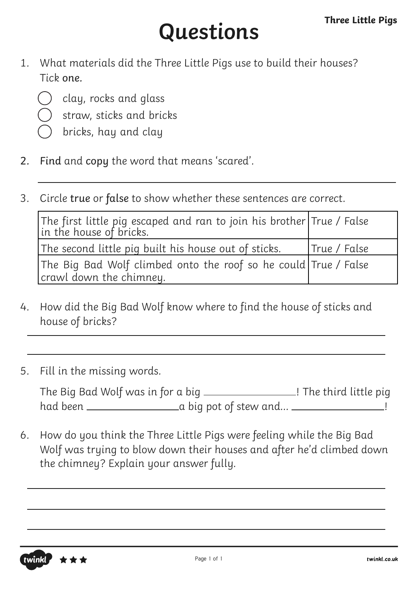# **Questions**

- 1. What materials did the Three Little Pigs use to build their houses? Tick one.
	- clay, rocks and glass
	- straw, sticks and bricks
	- bricks, hay and clay
- 2. Find and copy the word that means 'scared'.
- 3. Circle true or false to show whether these sentences are correct.

| The first little pig escaped and ran to join his brother $\vert$ True / False in the house of bricks. |              |
|-------------------------------------------------------------------------------------------------------|--------------|
| The second little pig built his house out of sticks.                                                  | True / False |
| The Big Bad Wolf climbed onto the roof so he could True / False                                       |              |
| crawl down the chimney.                                                                               |              |

- 4. How did the Big Bad Wolf know where to find the house of sticks and house of bricks?
- 5. Fill in the missing words.

|          | The Big Bad Wolf was in for a big . | .! The third little pig |
|----------|-------------------------------------|-------------------------|
| had been |                                     | a big pot of stew and   |

6. How do you think the Three Little Pigs were feeling while the Big Bad Wolf was trying to blow down their houses and after he'd climbed down the chimney? Explain your answer fully.